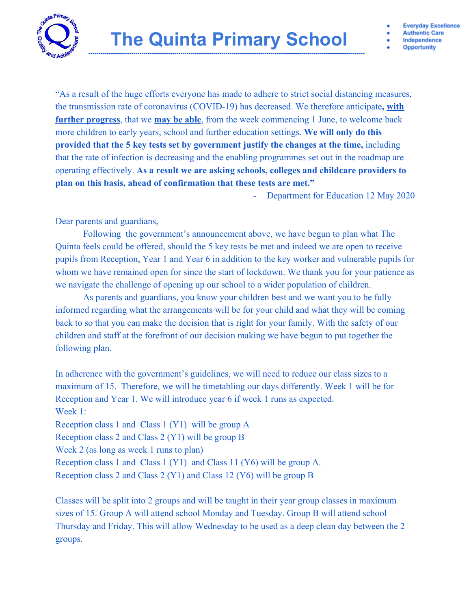

**Everyday Excellence** 

**Authentic Care** Independence

**Opportunity** 

"As a result of the huge efforts everyone has made to adhere to strict social distancing measures, the transmission rate of coronavirus (COVID-19) has decreased. We therefore anticipate**, with further progress**, that we **may be able**, from the week commencing 1 June, to welcome back more children to early years, school and further education settings. **We will only do this provided that the 5 key tests set by government justify the changes at the time,** including that the rate of infection is decreasing and the enabling programmes set out in the roadmap are operating effectively. **As a result we are asking schools, colleges and childcare providers to plan on this basis, ahead of confirmation that these tests are met."**

Department for Education 12 May 2020

Dear parents and guardians,

Following the government's announcement above, we have begun to plan what The Quinta feels could be offered, should the 5 key tests be met and indeed we are open to receive pupils from Reception, Year 1 and Year 6 in addition to the key worker and vulnerable pupils for whom we have remained open for since the start of lockdown. We thank you for your patience as we navigate the challenge of opening up our school to a wider population of children.

As parents and guardians, you know your children best and we want you to be fully informed regarding what the arrangements will be for your child and what they will be coming back to so that you can make the decision that is right for your family. With the safety of our children and staff at the forefront of our decision making we have begun to put together the following plan.

In adherence with the government's guidelines, we will need to reduce our class sizes to a maximum of 15. Therefore, we will be timetabling our days differently. Week 1 will be for Reception and Year 1. We will introduce year 6 if week 1 runs as expected. Week 1: Reception class 1 and Class 1 (Y1) will be group A Reception class 2 and Class 2 (Y1) will be group B Week 2 (as long as week 1 runs to plan) Reception class 1 and Class 1 (Y1) and Class 11 (Y6) will be group A. Reception class 2 and Class 2 (Y1) and Class 12 (Y6) will be group B

Classes will be split into 2 groups and will be taught in their year group classes in maximum sizes of 15. Group A will attend school Monday and Tuesday. Group B will attend school Thursday and Friday. This will allow Wednesday to be used as a deep clean day between the 2 groups.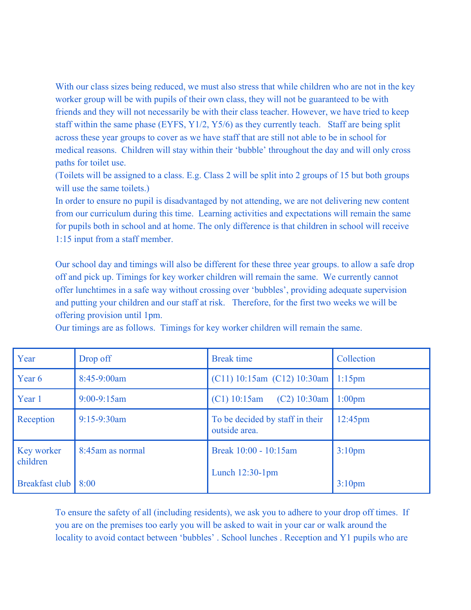With our class sizes being reduced, we must also stress that while children who are not in the key worker group will be with pupils of their own class, they will not be guaranteed to be with friends and they will not necessarily be with their class teacher. However, we have tried to keep staff within the same phase (EYFS, Y1/2, Y5/6) as they currently teach. Staff are being split across these year groups to cover as we have staff that are still not able to be in school for medical reasons. Children will stay within their 'bubble' throughout the day and will only cross paths for toilet use.

(Toilets will be assigned to a class. E.g. Class 2 will be split into 2 groups of 15 but both groups will use the same toilets.)

In order to ensure no pupil is disadvantaged by not attending, we are not delivering new content from our curriculum during this time. Learning activities and expectations will remain the same for pupils both in school and at home. The only difference is that children in school will receive 1:15 input from a staff member.

Our school day and timings will also be different for these three year groups. to allow a safe drop off and pick up. Timings for key worker children will remain the same. We currently cannot offer lunchtimes in a safe way without crossing over 'bubbles', providing adequate supervision and putting your children and our staff at risk. Therefore, for the first two weeks we will be offering provision until 1pm.

| Year                   | Drop off         | <b>Break time</b>                                | Collection         |
|------------------------|------------------|--------------------------------------------------|--------------------|
| Year 6                 | 8:45-9:00am      | $(C11)$ 10:15am $(C12)$ 10:30am                  | $1:15$ pm          |
| Year 1                 | $9:00-9:15am$    | (C1) 10:15am<br>$(C2)$ 10:30am                   | 1:00 <sub>pm</sub> |
| Reception              | $9:15-9:30$ am   | To be decided by staff in their<br>outside area. | $12:45$ pm         |
| Key worker<br>children | 8:45am as normal | Break 10:00 - 10:15am<br>Lunch $12:30-1$ pm      | 3:10 <sub>pm</sub> |
| Breakfast club         | 8:00             |                                                  | 3:10 <sub>pm</sub> |

Our timings are as follows. Timings for key worker children will remain the same.

To ensure the safety of all (including residents), we ask you to adhere to your drop off times. If you are on the premises too early you will be asked to wait in your car or walk around the locality to avoid contact between 'bubbles'. School lunches . Reception and Y1 pupils who are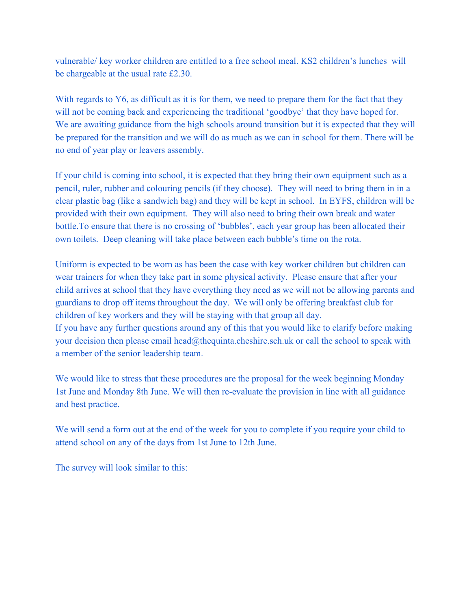vulnerable/ key worker children are entitled to a free school meal. KS2 children's lunches will be chargeable at the usual rate £2.30.

With regards to Y6, as difficult as it is for them, we need to prepare them for the fact that they will not be coming back and experiencing the traditional 'goodbye' that they have hoped for. We are awaiting guidance from the high schools around transition but it is expected that they will be prepared for the transition and we will do as much as we can in school for them. There will be no end of year play or leavers assembly.

If your child is coming into school, it is expected that they bring their own equipment such as a pencil, ruler, rubber and colouring pencils (if they choose). They will need to bring them in in a clear plastic bag (like a sandwich bag) and they will be kept in school. In EYFS, children will be provided with their own equipment. They will also need to bring their own break and water bottle.To ensure that there is no crossing of 'bubbles', each year group has been allocated their own toilets. Deep cleaning will take place between each bubble's time on the rota.

Uniform is expected to be worn as has been the case with key worker children but children can wear trainers for when they take part in some physical activity. Please ensure that after your child arrives at school that they have everything they need as we will not be allowing parents and guardians to drop off items throughout the day. We will only be offering breakfast club for children of key workers and they will be staying with that group all day. If you have any further questions around any of this that you would like to clarify before making your decision then please email [head@thequinta.cheshire.sch.uk](mailto:head@thequinta.cheshire.sch.uk) or call the school to speak with

a member of the senior leadership team.

We would like to stress that these procedures are the proposal for the week beginning Monday 1st June and Monday 8th June. We will then re-evaluate the provision in line with all guidance and best practice.

We will send a form out at the end of the week for you to complete if you require your child to attend school on any of the days from 1st June to 12th June.

The survey will look similar to this: